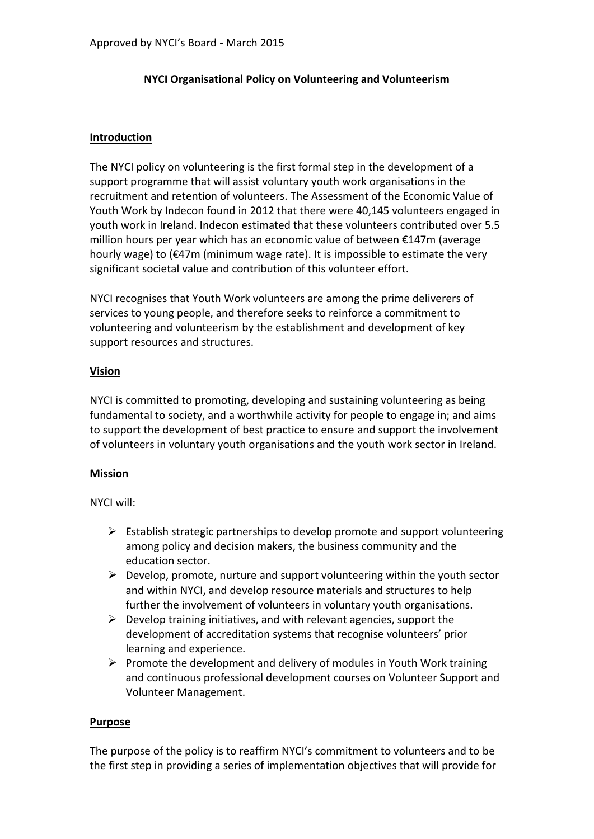#### **NYCI Organisational Policy on Volunteering and Volunteerism**

#### **Introduction**

The NYCI policy on volunteering is the first formal step in the development of a support programme that will assist voluntary youth work organisations in the recruitment and retention of volunteers. The Assessment of the Economic Value of Youth Work by Indecon found in 2012 that there were 40,145 volunteers engaged in youth work in Ireland. Indecon estimated that these volunteers contributed over 5.5 million hours per year which has an economic value of between €147m (average hourly wage) to (€47m (minimum wage rate). It is impossible to estimate the very significant societal value and contribution of this volunteer effort.

NYCI recognises that Youth Work volunteers are among the prime deliverers of services to young people, and therefore seeks to reinforce a commitment to volunteering and volunteerism by the establishment and development of key support resources and structures.

#### **Vision**

NYCI is committed to promoting, developing and sustaining volunteering as being fundamental to society, and a worthwhile activity for people to engage in; and aims to support the development of best practice to ensure and support the involvement of volunteers in voluntary youth organisations and the youth work sector in Ireland.

#### **Mission**

NYCI will:

- $\triangleright$  Establish strategic partnerships to develop promote and support volunteering among policy and decision makers, the business community and the education sector.
- $\triangleright$  Develop, promote, nurture and support volunteering within the youth sector and within NYCI, and develop resource materials and structures to help further the involvement of volunteers in voluntary youth organisations.
- $\triangleright$  Develop training initiatives, and with relevant agencies, support the development of accreditation systems that recognise volunteers' prior learning and experience.
- $\triangleright$  Promote the development and delivery of modules in Youth Work training and continuous professional development courses on Volunteer Support and Volunteer Management.

#### **Purpose**

The purpose of the policy is to reaffirm NYCI's commitment to volunteers and to be the first step in providing a series of implementation objectives that will provide for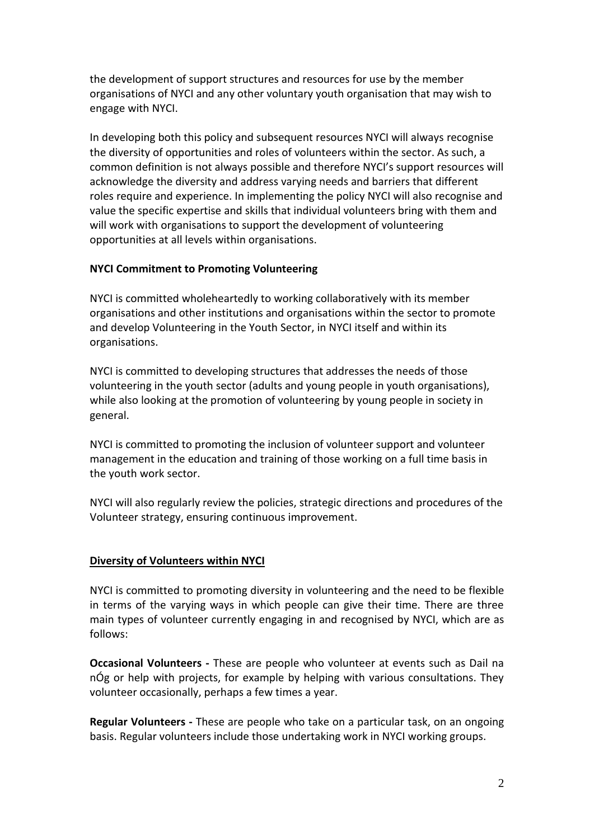the development of support structures and resources for use by the member organisations of NYCI and any other voluntary youth organisation that may wish to engage with NYCI.

In developing both this policy and subsequent resources NYCI will always recognise the diversity of opportunities and roles of volunteers within the sector. As such, a common definition is not always possible and therefore NYCI's support resources will acknowledge the diversity and address varying needs and barriers that different roles require and experience. In implementing the policy NYCI will also recognise and value the specific expertise and skills that individual volunteers bring with them and will work with organisations to support the development of volunteering opportunities at all levels within organisations.

#### **NYCI Commitment to Promoting Volunteering**

NYCI is committed wholeheartedly to working collaboratively with its member organisations and other institutions and organisations within the sector to promote and develop Volunteering in the Youth Sector, in NYCI itself and within its organisations.

NYCI is committed to developing structures that addresses the needs of those volunteering in the youth sector (adults and young people in youth organisations), while also looking at the promotion of volunteering by young people in society in general.

NYCI is committed to promoting the inclusion of volunteer support and volunteer management in the education and training of those working on a full time basis in the youth work sector.

NYCI will also regularly review the policies, strategic directions and procedures of the Volunteer strategy, ensuring continuous improvement.

#### **Diversity of Volunteers within NYCI**

NYCI is committed to promoting diversity in volunteering and the need to be flexible in terms of the varying ways in which people can give their time. There are three main types of volunteer currently engaging in and recognised by NYCI, which are as follows:

**Occasional Volunteers -** These are people who volunteer at events such as Dail na nÓg or help with projects, for example by helping with various consultations. They volunteer occasionally, perhaps a few times a year.

**Regular Volunteers -** These are people who take on a particular task, on an ongoing basis. Regular volunteers include those undertaking work in NYCI working groups.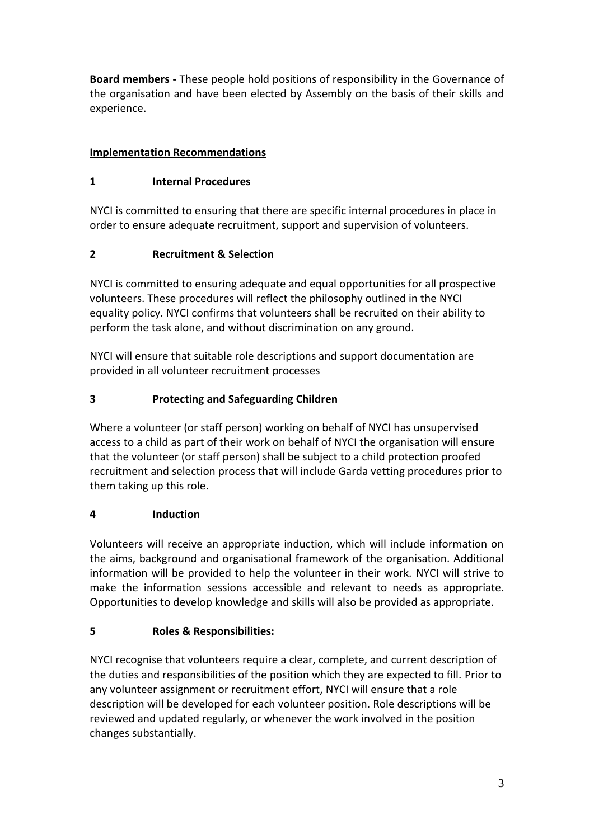**Board members -** These people hold positions of responsibility in the Governance of the organisation and have been elected by Assembly on the basis of their skills and experience.

# **Implementation Recommendations**

## **1 Internal Procedures**

NYCI is committed to ensuring that there are specific internal procedures in place in order to ensure adequate recruitment, support and supervision of volunteers.

# **2 Recruitment & Selection**

NYCI is committed to ensuring adequate and equal opportunities for all prospective volunteers. These procedures will reflect the philosophy outlined in the NYCI equality policy. NYCI confirms that volunteers shall be recruited on their ability to perform the task alone, and without discrimination on any ground.

NYCI will ensure that suitable role descriptions and support documentation are provided in all volunteer recruitment processes

# **3 Protecting and Safeguarding Children**

Where a volunteer (or staff person) working on behalf of NYCI has unsupervised access to a child as part of their work on behalf of NYCI the organisation will ensure that the volunteer (or staff person) shall be subject to a child protection proofed recruitment and selection process that will include Garda vetting procedures prior to them taking up this role.

### **4 Induction**

Volunteers will receive an appropriate induction, which will include information on the aims, background and organisational framework of the organisation. Additional information will be provided to help the volunteer in their work. NYCI will strive to make the information sessions accessible and relevant to needs as appropriate. Opportunities to develop knowledge and skills will also be provided as appropriate.

### **5 Roles & Responsibilities:**

NYCI recognise that volunteers require a clear, complete, and current description of the duties and responsibilities of the position which they are expected to fill. Prior to any volunteer assignment or recruitment effort, NYCI will ensure that a role description will be developed for each volunteer position. Role descriptions will be reviewed and updated regularly, or whenever the work involved in the position changes substantially.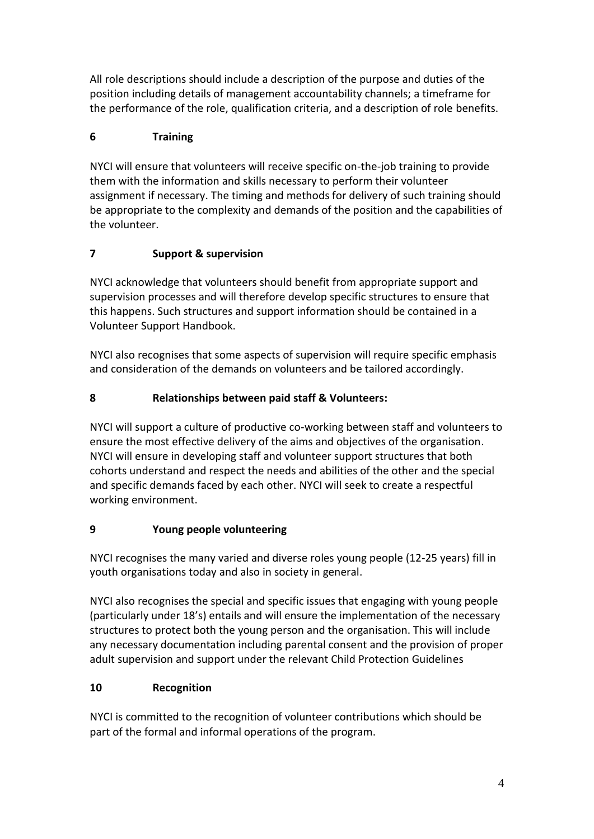All role descriptions should include a description of the purpose and duties of the position including details of management accountability channels; a timeframe for the performance of the role, qualification criteria, and a description of role benefits.

# **6 Training**

NYCI will ensure that volunteers will receive specific on-the-job training to provide them with the information and skills necessary to perform their volunteer assignment if necessary. The timing and methods for delivery of such training should be appropriate to the complexity and demands of the position and the capabilities of the volunteer.

# **7 Support & supervision**

NYCI acknowledge that volunteers should benefit from appropriate support and supervision processes and will therefore develop specific structures to ensure that this happens. Such structures and support information should be contained in a Volunteer Support Handbook.

NYCI also recognises that some aspects of supervision will require specific emphasis and consideration of the demands on volunteers and be tailored accordingly.

# **8 Relationships between paid staff & Volunteers:**

NYCI will support a culture of productive co-working between staff and volunteers to ensure the most effective delivery of the aims and objectives of the organisation. NYCI will ensure in developing staff and volunteer support structures that both cohorts understand and respect the needs and abilities of the other and the special and specific demands faced by each other. NYCI will seek to create a respectful working environment.

### **9 Young people volunteering**

NYCI recognises the many varied and diverse roles young people (12-25 years) fill in youth organisations today and also in society in general.

NYCI also recognises the special and specific issues that engaging with young people (particularly under 18's) entails and will ensure the implementation of the necessary structures to protect both the young person and the organisation. This will include any necessary documentation including parental consent and the provision of proper adult supervision and support under the relevant Child Protection Guidelines

# **10 Recognition**

NYCI is committed to the recognition of volunteer contributions which should be part of the formal and informal operations of the program.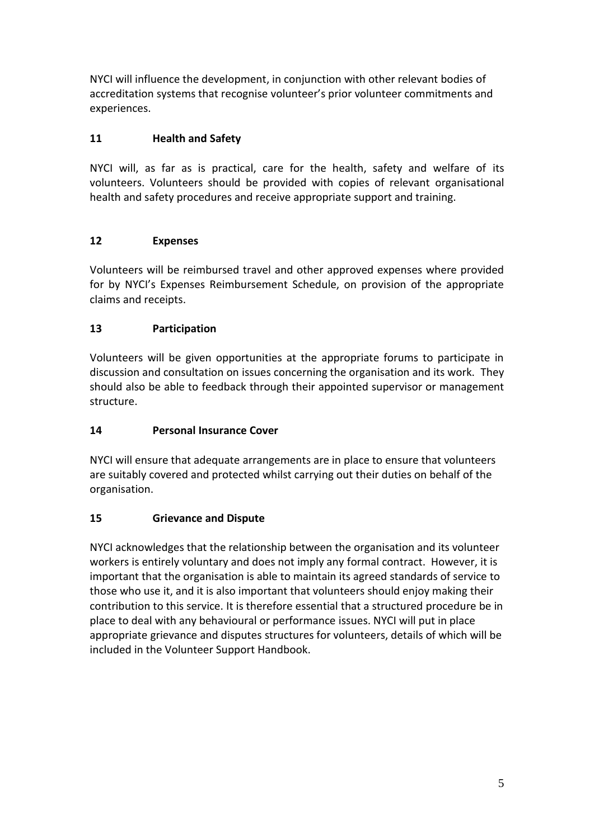NYCI will influence the development, in conjunction with other relevant bodies of accreditation systems that recognise volunteer's prior volunteer commitments and experiences.

## **11 Health and Safety**

NYCI will, as far as is practical, care for the health, safety and welfare of its volunteers. Volunteers should be provided with copies of relevant organisational health and safety procedures and receive appropriate support and training.

# **12 Expenses**

Volunteers will be reimbursed travel and other approved expenses where provided for by NYCI's Expenses Reimbursement Schedule, on provision of the appropriate claims and receipts.

# **13 Participation**

Volunteers will be given opportunities at the appropriate forums to participate in discussion and consultation on issues concerning the organisation and its work. They should also be able to feedback through their appointed supervisor or management structure.

# **14 Personal Insurance Cover**

NYCI will ensure that adequate arrangements are in place to ensure that volunteers are suitably covered and protected whilst carrying out their duties on behalf of the organisation.

# **15 Grievance and Dispute**

NYCI acknowledges that the relationship between the organisation and its volunteer workers is entirely voluntary and does not imply any formal contract. However, it is important that the organisation is able to maintain its agreed standards of service to those who use it, and it is also important that volunteers should enjoy making their contribution to this service. It is therefore essential that a structured procedure be in place to deal with any behavioural or performance issues. NYCI will put in place appropriate grievance and disputes structures for volunteers, details of which will be included in the Volunteer Support Handbook.